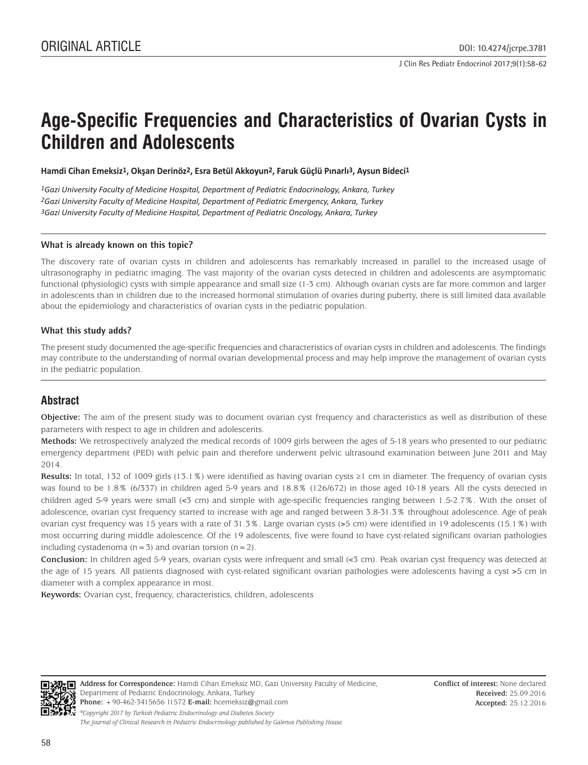# **Age-Specific Frequencies and Characteristics of Ovarian Cysts in Children and Adolescents**

**Hamdi Cihan Emeksiz1, Okşan Derinöz2, Esra Betül Akkoyun2, Faruk Güçlü Pınarlı3, Aysun Bideci1**

*1Gazi University Faculty of Medicine Hospital, Department of Pediatric Endocrinology, Ankara, Turkey 2Gazi University Faculty of Medicine Hospital, Department of Pediatric Emergency, Ankara, Turkey 3Gazi University Faculty of Medicine Hospital, Department of Pediatric Oncology, Ankara, Turkey*

#### **What is already known on this topic?**

The discovery rate of ovarian cysts in children and adolescents has remarkably increased in parallel to the increased usage of ultrasonography in pediatric imaging. The vast majority of the ovarian cysts detected in children and adolescents are asymptomatic functional (physiologic) cysts with simple appearance and small size (1-3 cm). Although ovarian cysts are far more common and larger in adolescents than in children due to the increased hormonal stimulation of ovaries during puberty, there is still limited data available about the epidemiology and characteristics of ovarian cysts in the pediatric population.

### **What this study adds?**

The present study documented the age-specific frequencies and characteristics of ovarian cysts in children and adolescents. The findings may contribute to the understanding of normal ovarian developmental process and may help improve the management of ovarian cysts in the pediatric population.

# **Abstract**

**Objective:** The aim of the present study was to document ovarian cyst frequency and characteristics as well as distribution of these parameters with respect to age in children and adolescents.

**Methods:** We retrospectively analyzed the medical records of 1009 girls between the ages of 5-18 years who presented to our pediatric emergency department (PED) with pelvic pain and therefore underwent pelvic ultrasound examination between June 2011 and May 2014.

**Results:** In total, 132 of 1009 girls (13.1%) were identified as having ovarian cysts ≥1 cm in diameter. The frequency of ovarian cysts was found to be 1.8% (6/337) in children aged 5-9 years and 18.8% (126/672) in those aged 10-18 years. All the cysts detected in children aged 5-9 years were small (<3 cm) and simple with age-specific frequencies ranging between 1.5-2.7%. With the onset of adolescence, ovarian cyst frequency started to increase with age and ranged between 3.8-31.3% throughout adolescence. Age of peak ovarian cyst frequency was 15 years with a rate of 31.3%. Large ovarian cysts (>5 cm) were identified in 19 adolescents (15.1%) with most occurring during middle adolescence. Of the 19 adolescents, five were found to have cyst-related significant ovarian pathologies including cystadenoma  $(n=3)$  and ovarian torsion  $(n=2)$ .

**Conclusion:** In children aged 5-9 years, ovarian cysts were infrequent and small (<3 cm). Peak ovarian cyst frequency was detected at the age of 15 years. All patients diagnosed with cyst-related significant ovarian pathologies were adolescents having a cyst >5 cm in diameter with a complex appearance in most.

**Keywords:** Ovarian cyst, frequency, characteristics, children, adolescents



**Address for Correspondence:** Hamdi Cihan Emeksiz MD, Gazi University Faculty of Medicine, Department of Pediatric Endocrinology, Ankara, Turkey **Phone:** +90-462-3415656 11572 **E-mail:** hcemeksiz@gmail.com *©Copyright 2017 by Turkish Pediatric Endocrinology and Diabetes Society The Journal of Clinical Research in Pediatric Endocrinology published by Galenos Publishing House.*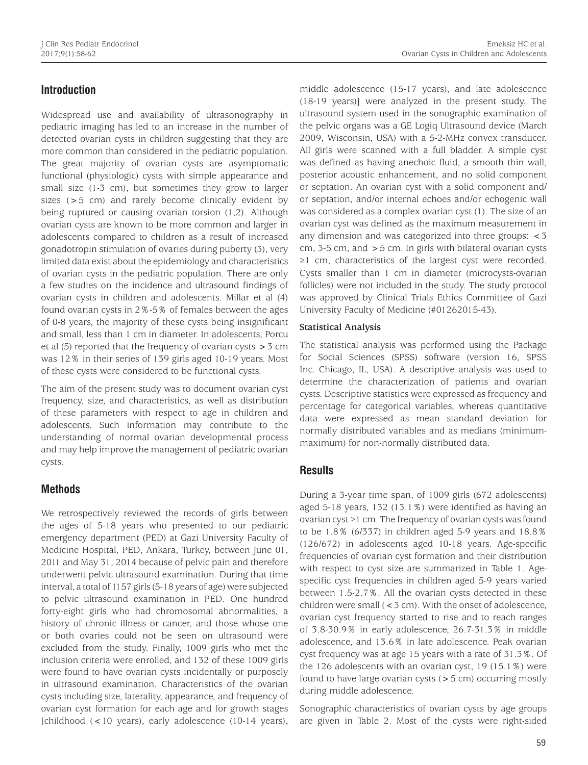# **Introduction**

Widespread use and availability of ultrasonography in pediatric imaging has led to an increase in the number of detected ovarian cysts in children suggesting that they are more common than considered in the pediatric population. The great majority of ovarian cysts are asymptomatic functional (physiologic) cysts with simple appearance and small size (1-3 cm), but sometimes they grow to larger sizes (>5 cm) and rarely become clinically evident by being ruptured or causing ovarian torsion (1,2). Although ovarian cysts are known to be more common and larger in adolescents compared to children as a result of increased gonadotropin stimulation of ovaries during puberty (3), very limited data exist about the epidemiology and characteristics of ovarian cysts in the pediatric population. There are only a few studies on the incidence and ultrasound findings of ovarian cysts in children and adolescents. Millar et al (4) found ovarian cysts in 2%-5% of females between the ages of 0-8 years, the majority of these cysts being insignificant and small, less than 1 cm in diameter. In adolescents, Porcu et al  $(5)$  reported that the frequency of ovarian cysts  $>$  3 cm was 12% in their series of 139 girls aged 10-19 years. Most of these cysts were considered to be functional cysts.

The aim of the present study was to document ovarian cyst frequency, size, and characteristics, as well as distribution of these parameters with respect to age in children and adolescents. Such information may contribute to the understanding of normal ovarian developmental process and may help improve the management of pediatric ovarian cysts.

# **Methods**

We retrospectively reviewed the records of girls between the ages of 5-18 years who presented to our pediatric emergency department (PED) at Gazi University Faculty of Medicine Hospital, PED, Ankara, Turkey, between June 01, 2011 and May 31, 2014 because of pelvic pain and therefore underwent pelvic ultrasound examination. During that time interval, a total of 1157 girls (5-18 years of age) were subjected to pelvic ultrasound examination in PED. One hundred forty-eight girls who had chromosomal abnormalities, a history of chronic illness or cancer, and those whose one or both ovaries could not be seen on ultrasound were excluded from the study. Finally, 1009 girls who met the inclusion criteria were enrolled, and 132 of these 1009 girls were found to have ovarian cysts incidentally or purposely in ultrasound examination. Characteristics of the ovarian cysts including size, laterality, appearance, and frequency of ovarian cyst formation for each age and for growth stages [childhood (<10 years), early adolescence (10-14 years),

middle adolescence (15-17 years), and late adolescence (18-19 years)] were analyzed in the present study. The ultrasound system used in the sonographic examination of the pelvic organs was a GE Logiq Ultrasound device (March 2009, Wisconsin, USA) with a 5-2-MHz convex transducer. All girls were scanned with a full bladder. A simple cyst was defined as having anechoic fluid, a smooth thin wall, posterior acoustic enhancement, and no solid component or septation. An ovarian cyst with a solid component and/ or septation, and/or internal echoes and/or echogenic wall was considered as a complex ovarian cyst (1). The size of an ovarian cyst was defined as the maximum measurement in any dimension and was categorized into three groups: <3 cm,  $3-5$  cm, and  $>5$  cm. In girls with bilateral ovarian cysts ≥1 cm, characteristics of the largest cyst were recorded. Cysts smaller than 1 cm in diameter (microcysts-ovarian follicles) were not included in the study. The study protocol was approved by Clinical Trials Ethics Committee of Gazi University Faculty of Medicine (#01262015-43).

#### **Statistical Analysis**

The statistical analysis was performed using the Package for Social Sciences (SPSS) software (version 16, SPSS Inc. Chicago, IL, USA). A descriptive analysis was used to determine the characterization of patients and ovarian cysts. Descriptive statistics were expressed as frequency and percentage for categorical variables, whereas quantitative data were expressed as mean standard deviation for normally distributed variables and as medians (minimummaximum) for non-normally distributed data.

# **Results**

During a 3-year time span, of 1009 girls (672 adolescents) aged 5-18 years, 132 (13.1%) were identified as having an ovarian cyst ≥1 cm. The frequency of ovarian cysts was found to be 1.8% (6/337) in children aged 5-9 years and 18.8% (126/672) in adolescents aged 10-18 years. Age-specific frequencies of ovarian cyst formation and their distribution with respect to cyst size are summarized in Table 1. Agespecific cyst frequencies in children aged 5-9 years varied between 1.5-2.7%. All the ovarian cysts detected in these children were small  $( $3 \text{ cm}$ ). With the onset of adolescence,$ ovarian cyst frequency started to rise and to reach ranges of 3.8-30.9% in early adolescence, 26.7-31.3% in middle adolescence, and 13.6% in late adolescence. Peak ovarian cyst frequency was at age 15 years with a rate of 31.3%. Of the 126 adolescents with an ovarian cyst, 19 (15.1%) were found to have large ovarian cysts  $(>5 \text{ cm})$  occurring mostly during middle adolescence.

Sonographic characteristics of ovarian cysts by age groups are given in Table 2. Most of the cysts were right-sided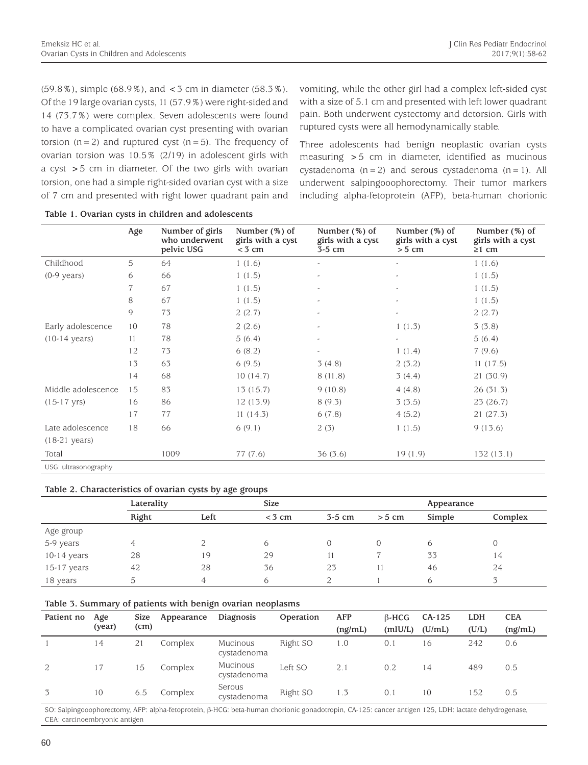$(59.8\%)$ , simple  $(68.9\%)$ , and  $<$  3 cm in diameter  $(58.3\%)$ . Of the 19 large ovarian cysts, 11 (57.9%) were right-sided and 14 (73.7%) were complex. Seven adolescents were found to have a complicated ovarian cyst presenting with ovarian torsion  $(n=2)$  and ruptured cyst  $(n=5)$ . The frequency of ovarian torsion was 10.5% (2/19) in adolescent girls with a cyst >5 cm in diameter. Of the two girls with ovarian torsion, one had a simple right-sided ovarian cyst with a size of 7 cm and presented with right lower quadrant pain and vomiting, while the other girl had a complex left-sided cyst with a size of 5.1 cm and presented with left lower quadrant pain. Both underwent cystectomy and detorsion. Girls with ruptured cysts were all hemodynamically stable.

Three adolescents had benign neoplastic ovarian cysts measuring >5 cm in diameter, identified as mucinous cystadenoma  $(n=2)$  and serous cystadenoma  $(n=1)$ . All underwent salpingooophorectomy. Their tumor markers including alpha-fetoprotein (AFP), beta-human chorionic

|                         | Age | Number of girls<br>who underwent<br>pelvic USG | Number $(\%)$ of<br>girls with a cyst<br>$<$ 3 cm | Number $(\%)$ of<br>girls with a cyst<br>$3-5$ cm | Number $(\%)$ of<br>girls with a cyst<br>$> 5$ cm | Number (%) of<br>girls with a cyst<br>$\geq 1$ cm |
|-------------------------|-----|------------------------------------------------|---------------------------------------------------|---------------------------------------------------|---------------------------------------------------|---------------------------------------------------|
| Childhood               | 5   | 64                                             | 1(1.6)                                            | -                                                 | $\overline{a}$                                    | 1(1.6)                                            |
| $(0-9 \text{ years})$   | 6   | 66                                             | 1(1.5)                                            | $\overline{a}$                                    | $\overline{a}$                                    | 1(1.5)                                            |
|                         | 7   | 67                                             | 1(1.5)                                            | $\overline{a}$                                    |                                                   | 1(1.5)                                            |
|                         | 8   | 67                                             | 1(1.5)                                            | -                                                 |                                                   | 1(1.5)                                            |
|                         | 9   | 73                                             | 2(2.7)                                            | $\overline{a}$                                    | $\tilde{\phantom{a}}$                             | 2(2.7)                                            |
| Early adolescence       | 10  | 78                                             | 2(2.6)                                            | -                                                 | 1(1.3)                                            | 3(3.8)                                            |
| $(10-14 \text{ years})$ | 11  | 78                                             | 5(6.4)                                            | $\overline{a}$                                    | $\tilde{\phantom{a}}$                             | 5(6.4)                                            |
|                         | 12  | 73                                             | 6(8.2)                                            | $\tilde{\phantom{a}}$                             | 1(1.4)                                            | 7(9.6)                                            |
|                         | 13  | 63                                             | 6(9.5)                                            | 3(4.8)                                            | 2(3.2)                                            | 11(17.5)                                          |
|                         | 14  | 68                                             | 10(14.7)                                          | 8(11.8)                                           | 3(4.4)                                            | 21(30.9)                                          |
| Middle adolescence      | 15  | 83                                             | 13(15.7)                                          | 9(10.8)                                           | 4(4.8)                                            | 26(31.3)                                          |
| $(15-17 \text{ yrs})$   | 16  | 86                                             | 12 (13.9)                                         | 8(9.3)                                            | 3(3.5)                                            | 23(26.7)                                          |
|                         | 17  | 77                                             | 11(14.3)                                          | 6(7.8)                                            | 4(5.2)                                            | 21(27.3)                                          |
| Late adolescence        | 18  | 66                                             | 6(9.1)                                            | 2(3)                                              | 1(1.5)                                            | 9(13.6)                                           |
| $(18-21 \text{ years})$ |     |                                                |                                                   |                                                   |                                                   |                                                   |
| Total                   |     | 1009                                           | 77 (7.6)                                          | 36(3.6)                                           | 19(1.9)                                           | 132(13.1)                                         |
| USG: ultrasonography    |     |                                                |                                                   |                                                   |                                                   |                                                   |

|  |  |  | Table 1. Ovarian cysts in children and adolescents |
|--|--|--|----------------------------------------------------|
|  |  |  |                                                    |

### **Table 2. Characteristics of ovarian cysts by age groups**

|               | Laterality |      | <b>Size</b> |          |                | Appearance |         |
|---------------|------------|------|-------------|----------|----------------|------------|---------|
|               | Right      | Left | $<$ 3 cm    | $3-5$ cm | $> 5$ cm       | Simple     | Complex |
| Age group     |            |      |             |          |                |            |         |
| 5-9 years     |            |      | 6           |          | $\overline{0}$ | 6          | O       |
| $10-14$ years | 28         | 19   | 29          |          |                | 33         | 14      |
| 15-17 years   | 42         | 28   | 36          | 23       |                | 46         | 24      |
| 18 years      | 5.         | 4    | 6           | 2        |                | 6          | ス       |

#### **Table 3. Summary of patients with benign ovarian neoplasms**

| Patient no | Age    | <b>Size</b> | Appearance | Diagnosis               | Operation | AFP     | $\beta$ -HCG | $CA-125$ | <b>LDH</b> | <b>CEA</b> |
|------------|--------|-------------|------------|-------------------------|-----------|---------|--------------|----------|------------|------------|
|            | (year) | (cm)        |            |                         |           | (ng/mL) | (mIU/L)      | (U/mL)   | (U/L)      | (ng/mL)    |
|            | 14     | 21          | Complex    | Mucinous<br>cystadenoma | Right SO  | 1.0     | 0.1          | 16       | 242        | 0.6        |
| 2          | 17     | 15          | Complex    | Mucinous<br>cystadenoma | Left SO   | 2.1     | 0.2          | 14       | 489        | 0.5        |
| 3          | 10     | 6.5         | Complex    | Serous<br>cystadenoma   | Right SO  | 1.3     | 0.1          | 10       | 152        | 0.5        |

SO: Salpingooophorectomy, AFP: alpha-fetoprotein, β-HCG: beta-human chorionic gonadotropin, CA-125: cancer antigen 125, LDH: lactate dehydrogenase, CEA: carcinoembryonic antigen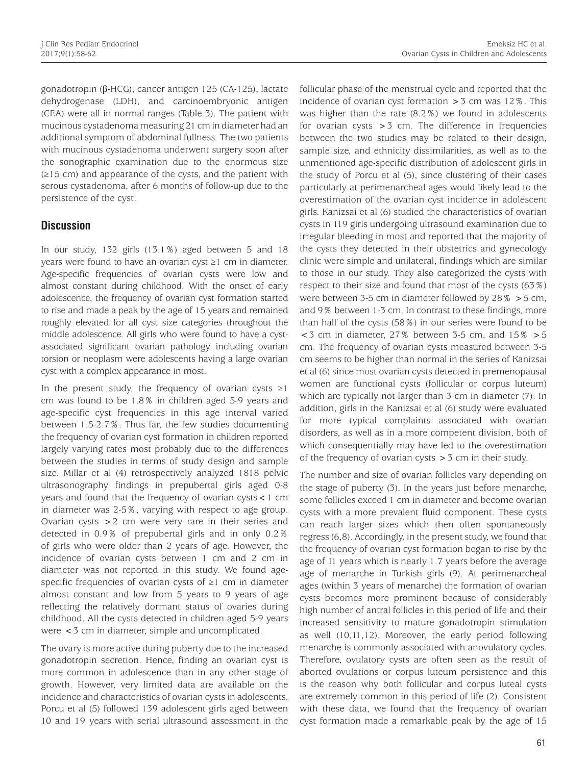gonadotropin (β-HCG), cancer antigen 125 (CA-125), lactate dehydrogenase (LDH), and carcinoembryonic antigen (CEA) were all in normal ranges (Table 3). The patient with mucinous cystadenoma measuring 21 cm in diameter had an additional symptom of abdominal fullness. The two patients with mucinous cystadenoma underwent surgery soon after the sonographic examination due to the enormous size (≥15 cm) and appearance of the cysts, and the patient with serous cystadenoma, after 6 months of follow-up due to the persistence of the cyst.

## **Discussion**

In our study, 132 girls (13.1%) aged between 5 and 18 years were found to have an ovarian cyst ≥1 cm in diameter. Age-specific frequencies of ovarian cysts were low and almost constant during childhood. With the onset of early adolescence, the frequency of ovarian cyst formation started to rise and made a peak by the age of 15 years and remained roughly elevated for all cyst size categories throughout the middle adolescence. All girls who were found to have a cystassociated significant ovarian pathology including ovarian torsion or neoplasm were adolescents having a large ovarian cyst with a complex appearance in most.

In the present study, the frequency of ovarian cysts  $\geq 1$ cm was found to be 1.8% in children aged 5-9 years and age-specific cyst frequencies in this age interval varied between 1.5-2.7%. Thus far, the few studies documenting the frequency of ovarian cyst formation in children reported largely varying rates most probably due to the differences between the studies in terms of study design and sample size. Millar et al (4) retrospectively analyzed 1818 pelvic ultrasonography findings in prepubertal girls aged 0-8 years and found that the frequency of ovarian cysts<1 cm in diameter was 2-5%, varying with respect to age group. Ovarian cysts >2 cm were very rare in their series and detected in 0.9% of prepubertal girls and in only 0.2% of girls who were older than 2 years of age. However, the incidence of ovarian cysts between 1 cm and 2 cm in diameter was not reported in this study. We found agespecific frequencies of ovarian cysts of ≥1 cm in diameter almost constant and low from 5 years to 9 years of age reflecting the relatively dormant status of ovaries during childhood. All the cysts detected in children aged 5-9 years were <3 cm in diameter, simple and uncomplicated.

The ovary is more active during puberty due to the increased gonadotropin secretion. Hence, finding an ovarian cyst is more common in adolescence than in any other stage of growth. However, very limited data are available on the incidence and characteristics of ovarian cysts in adolescents. Porcu et al (5) followed 139 adolescent girls aged between 10 and 19 years with serial ultrasound assessment in the

follicular phase of the menstrual cycle and reported that the incidence of ovarian cyst formation  $>$  3 cm was 12%. This was higher than the rate (8.2%) we found in adolescents for ovarian cysts  $>$  3 cm. The difference in frequencies between the two studies may be related to their design, sample size, and ethnicity dissimilarities, as well as to the unmentioned age-specific distribution of adolescent girls in the study of Porcu et al (5), since clustering of their cases particularly at perimenarcheal ages would likely lead to the overestimation of the ovarian cyst incidence in adolescent girls. Kanizsai et al (6) studied the characteristics of ovarian cysts in 119 girls undergoing ultrasound examination due to irregular bleeding in most and reported that the majority of the cysts they detected in their obstetrics and gynecology clinic were simple and unilateral, findings which are similar to those in our study. They also categorized the cysts with respect to their size and found that most of the cysts (63%) were between 3-5 cm in diameter followed by 28% >5 cm, and 9% between 1-3 cm. In contrast to these findings, more than half of the cysts (58%) in our series were found to be  $\lt$  3 cm in diameter, 27% between 3-5 cm, and 15%  $>$  5 cm. The frequency of ovarian cysts measured between 3-5 cm seems to be higher than normal in the series of Kanizsai et al (6) since most ovarian cysts detected in premenopausal women are functional cysts (follicular or corpus luteum) which are typically not larger than 3 cm in diameter (7). In addition, girls in the Kanizsai et al (6) study were evaluated for more typical complaints associated with ovarian disorders, as well as in a more competent division, both of which consequentially may have led to the overestimation of the frequency of ovarian cysts  $>$  3 cm in their study.

The number and size of ovarian follicles vary depending on the stage of puberty (3). In the years just before menarche, some follicles exceed 1 cm in diameter and become ovarian cysts with a more prevalent fluid component. These cysts can reach larger sizes which then often spontaneously regress (6,8). Accordingly, in the present study, we found that the frequency of ovarian cyst formation began to rise by the age of 11 years which is nearly 1.7 years before the average age of menarche in Turkish girls (9). At perimenarcheal ages (within 3 years of menarche) the formation of ovarian cysts becomes more prominent because of considerably high number of antral follicles in this period of life and their increased sensitivity to mature gonadotropin stimulation as well (10,11,12). Moreover, the early period following menarche is commonly associated with anovulatory cycles. Therefore, ovulatory cysts are often seen as the result of aborted ovulations or corpus luteum persistence and this is the reason why both follicular and corpus luteal cysts are extremely common in this period of life (2). Consistent with these data, we found that the frequency of ovarian cyst formation made a remarkable peak by the age of 15